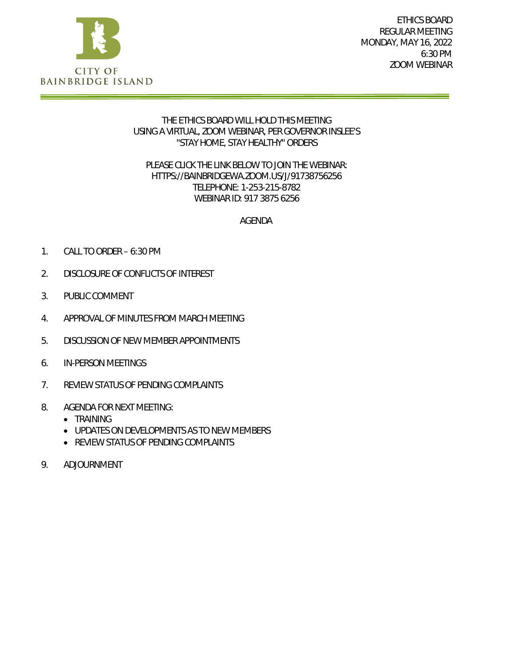

ETHICS BOARD REGULAR MEETING MONDAY, MAY 16, 2022 6:30 PM ZOOM WEBINAR

## THE ETHICS BOARD WILL HOLD THIS MEETING USING A VIRTUAL, ZOOM WEBINAR, PER GOVERNOR INSLEE'S "STAY HOME, STAY HEALTHY" ORDERS

## PLEASE CLICK THE LINK BELOW TO JOIN THE WEBINAR: HTTPS://BAINBRIDGEWA.ZOOM.US/J/91738756256 TELEPHONE: 1-253-215-8782 WEBINAR ID: 917 3875 6256

## AGENDA

- 1. CALL TO ORDER 6:30 PM
- 2. DISCLOSURE OF CONFLICTS OF INTEREST
- 3. PUBLIC COMMENT
- 4. APPROVAL OF MINUTES FROM MARCH MEETING
- 5. DISCUSSION OF NEW MEMBER APPOINTMENTS
- 6. IN-PERSON MEETINGS
- 7. REVIEW STATUS OF PENDING COMPLAINTS
- 8. AGENDA FOR NEXT MEETING:
	- TRAINING
	- UPDATES ON DEVELOPMENTS AS TO NEW MEMBERS
	- REVIEW STATUS OF PENDING COMPLAINTS
- 9. ADJOURNMENT